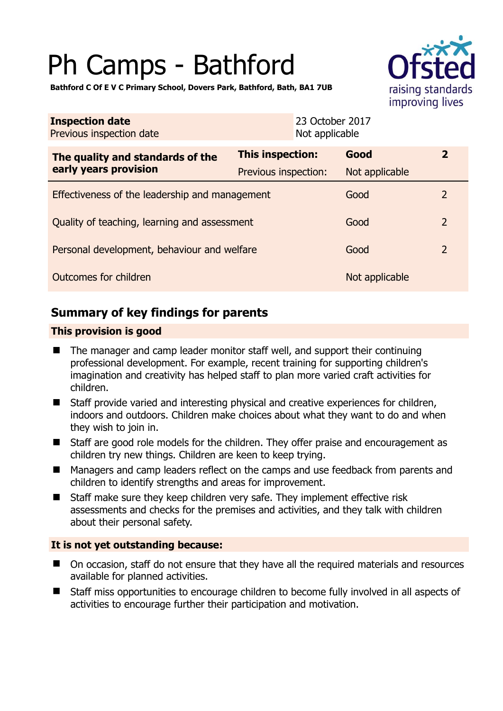# Ph Camps - Bathford



**Bathford C Of E V C Primary School, Dovers Park, Bathford, Bath, BA1 7UB** 

| <b>Inspection date</b><br>Previous inspection date        | 23 October 2017<br>Not applicable               |                        |                |
|-----------------------------------------------------------|-------------------------------------------------|------------------------|----------------|
| The quality and standards of the<br>early years provision | <b>This inspection:</b><br>Previous inspection: | Good<br>Not applicable | $\mathbf{2}$   |
| Effectiveness of the leadership and management            |                                                 | Good                   | $\overline{2}$ |
| Quality of teaching, learning and assessment              |                                                 | Good                   | $\overline{2}$ |
| Personal development, behaviour and welfare               |                                                 | Good                   | $\overline{2}$ |
| Outcomes for children                                     |                                                 | Not applicable         |                |

# **Summary of key findings for parents**

## **This provision is good**

- The manager and camp leader monitor staff well, and support their continuing professional development. For example, recent training for supporting children's imagination and creativity has helped staff to plan more varied craft activities for children.
- Staff provide varied and interesting physical and creative experiences for children, indoors and outdoors. Children make choices about what they want to do and when they wish to join in.
- Staff are good role models for the children. They offer praise and encouragement as children try new things. Children are keen to keep trying.
- Managers and camp leaders reflect on the camps and use feedback from parents and children to identify strengths and areas for improvement.
- Staff make sure they keep children very safe. They implement effective risk assessments and checks for the premises and activities, and they talk with children about their personal safety.

## **It is not yet outstanding because:**

- On occasion, staff do not ensure that they have all the required materials and resources available for planned activities.
- Staff miss opportunities to encourage children to become fully involved in all aspects of activities to encourage further their participation and motivation.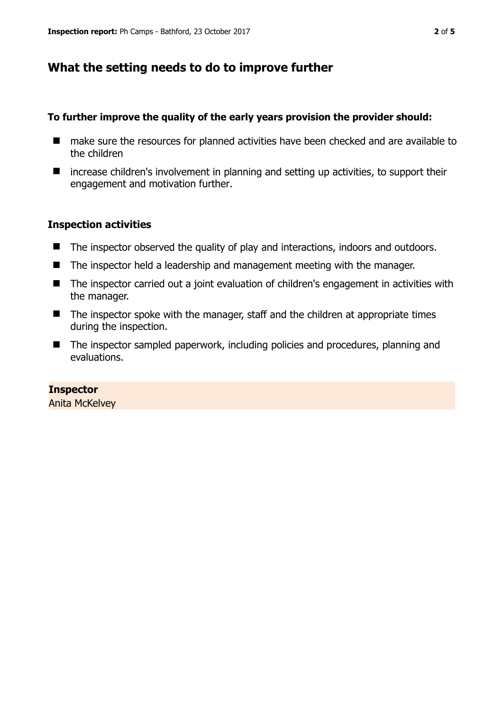# **What the setting needs to do to improve further**

#### **To further improve the quality of the early years provision the provider should:**

- make sure the resources for planned activities have been checked and are available to the children
- $\blacksquare$  increase children's involvement in planning and setting up activities, to support their engagement and motivation further.

### **Inspection activities**

- The inspector observed the quality of play and interactions, indoors and outdoors.
- The inspector held a leadership and management meeting with the manager.
- The inspector carried out a joint evaluation of children's engagement in activities with the manager.
- $\blacksquare$  The inspector spoke with the manager, staff and the children at appropriate times during the inspection.
- The inspector sampled paperwork, including policies and procedures, planning and evaluations.

**Inspector**  Anita McKelvey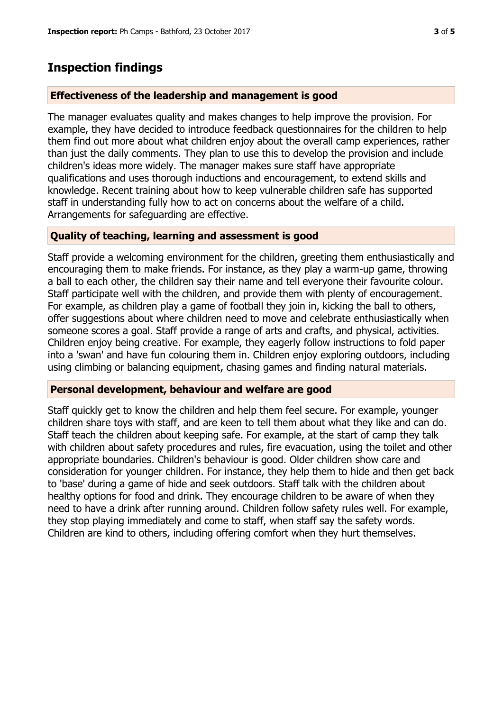## **Inspection findings**

#### **Effectiveness of the leadership and management is good**

The manager evaluates quality and makes changes to help improve the provision. For example, they have decided to introduce feedback questionnaires for the children to help them find out more about what children enjoy about the overall camp experiences, rather than just the daily comments. They plan to use this to develop the provision and include children's ideas more widely. The manager makes sure staff have appropriate qualifications and uses thorough inductions and encouragement, to extend skills and knowledge. Recent training about how to keep vulnerable children safe has supported staff in understanding fully how to act on concerns about the welfare of a child. Arrangements for safeguarding are effective.

#### **Quality of teaching, learning and assessment is good**

Staff provide a welcoming environment for the children, greeting them enthusiastically and encouraging them to make friends. For instance, as they play a warm-up game, throwing a ball to each other, the children say their name and tell everyone their favourite colour. Staff participate well with the children, and provide them with plenty of encouragement. For example, as children play a game of football they join in, kicking the ball to others, offer suggestions about where children need to move and celebrate enthusiastically when someone scores a goal. Staff provide a range of arts and crafts, and physical, activities. Children enjoy being creative. For example, they eagerly follow instructions to fold paper into a 'swan' and have fun colouring them in. Children enjoy exploring outdoors, including using climbing or balancing equipment, chasing games and finding natural materials.

#### **Personal development, behaviour and welfare are good**

Staff quickly get to know the children and help them feel secure. For example, younger children share toys with staff, and are keen to tell them about what they like and can do. Staff teach the children about keeping safe. For example, at the start of camp they talk with children about safety procedures and rules, fire evacuation, using the toilet and other appropriate boundaries. Children's behaviour is good. Older children show care and consideration for younger children. For instance, they help them to hide and then get back to 'base' during a game of hide and seek outdoors. Staff talk with the children about healthy options for food and drink. They encourage children to be aware of when they need to have a drink after running around. Children follow safety rules well. For example, they stop playing immediately and come to staff, when staff say the safety words. Children are kind to others, including offering comfort when they hurt themselves.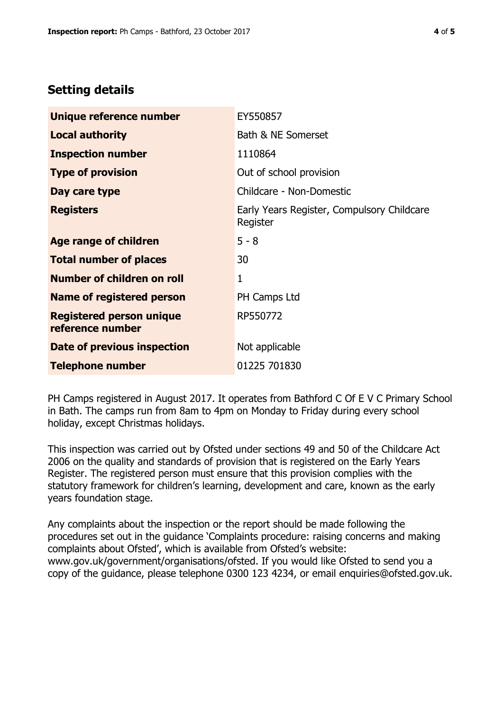# **Setting details**

| Unique reference number                             | EY550857                                               |  |
|-----------------------------------------------------|--------------------------------------------------------|--|
| <b>Local authority</b>                              | Bath & NE Somerset                                     |  |
| <b>Inspection number</b>                            | 1110864                                                |  |
| <b>Type of provision</b>                            | Out of school provision                                |  |
| Day care type                                       | Childcare - Non-Domestic                               |  |
| <b>Registers</b>                                    | Early Years Register, Compulsory Childcare<br>Register |  |
| Age range of children                               | $5 - 8$                                                |  |
| <b>Total number of places</b>                       | 30                                                     |  |
| Number of children on roll                          | 1                                                      |  |
| <b>Name of registered person</b>                    | PH Camps Ltd                                           |  |
| <b>Registered person unique</b><br>reference number | RP550772                                               |  |
| Date of previous inspection                         | Not applicable                                         |  |
| <b>Telephone number</b>                             | 01225 701830                                           |  |

PH Camps registered in August 2017. It operates from Bathford C Of E V C Primary School in Bath. The camps run from 8am to 4pm on Monday to Friday during every school holiday, except Christmas holidays.

This inspection was carried out by Ofsted under sections 49 and 50 of the Childcare Act 2006 on the quality and standards of provision that is registered on the Early Years Register. The registered person must ensure that this provision complies with the statutory framework for children's learning, development and care, known as the early years foundation stage.

Any complaints about the inspection or the report should be made following the procedures set out in the guidance 'Complaints procedure: raising concerns and making complaints about Ofsted', which is available from Ofsted's website: www.gov.uk/government/organisations/ofsted. If you would like Ofsted to send you a copy of the guidance, please telephone 0300 123 4234, or email enquiries@ofsted.gov.uk.